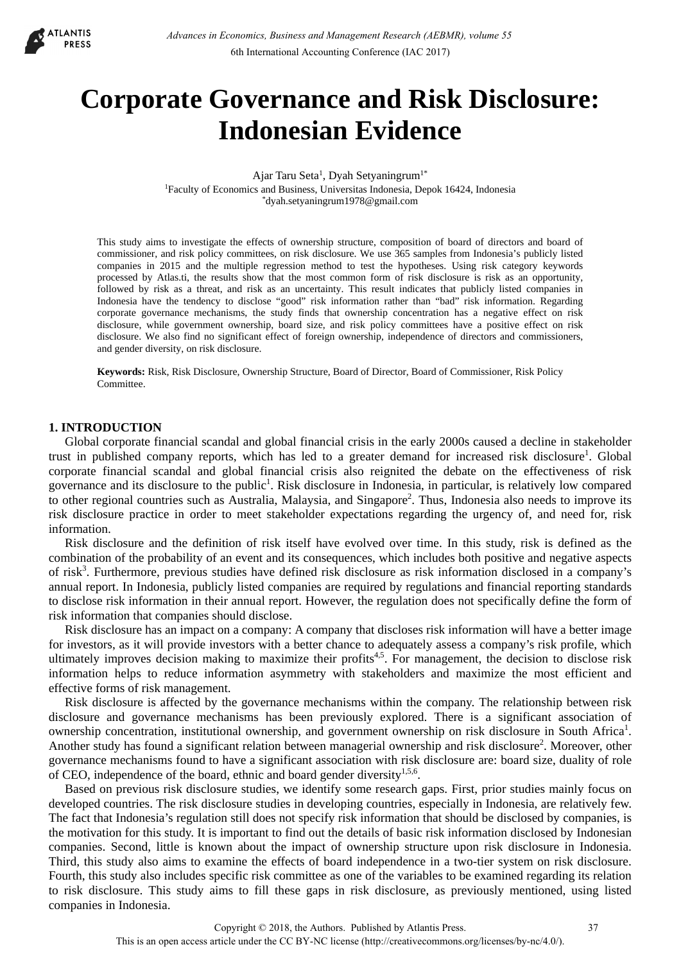

# **Corporate Governance and Risk Disclosure: Indonesian Evidence**

Ajar Taru Seta<sup>1</sup>, Dyah Setyaningrum<sup>1\*</sup> 1Faculty of Economics and Business, Universitas Indonesia, Depok 16424, Indonesia \*dyah.setyaningrum1978@gmail.com

This study aims to investigate the effects of ownership structure, composition of board of directors and board of commissioner, and risk policy committees, on risk disclosure. We use 365 samples from Indonesia's publicly listed companies in 2015 and the multiple regression method to test the hypotheses. Using risk category keywords processed by Atlas.ti, the results show that the most common form of risk disclosure is risk as an opportunity, followed by risk as a threat, and risk as an uncertainty. This result indicates that publicly listed companies in Indonesia have the tendency to disclose "good" risk information rather than "bad" risk information. Regarding corporate governance mechanisms, the study finds that ownership concentration has a negative effect on risk disclosure, while government ownership, board size, and risk policy committees have a positive effect on risk disclosure. We also find no significant effect of foreign ownership, independence of directors and commissioners, and gender diversity, on risk disclosure.

**Keywords:** Risk, Risk Disclosure, Ownership Structure, Board of Director, Board of Commissioner, Risk Policy Committee.

## **1. INTRODUCTION**

Global corporate financial scandal and global financial crisis in the early 2000s caused a decline in stakeholder trust in published company reports, which has led to a greater demand for increased risk disclosure<sup>1</sup>. Global corporate financial scandal and global financial crisis also reignited the debate on the effectiveness of risk governance and its disclosure to the public<sup>1</sup>. Risk disclosure in Indonesia, in particular, is relatively low compared to other regional countries such as Australia, Malaysia, and Singapore<sup>2</sup>. Thus, Indonesia also needs to improve its risk disclosure practice in order to meet stakeholder expectations regarding the urgency of, and need for, risk information.

Risk disclosure and the definition of risk itself have evolved over time. In this study, risk is defined as the combination of the probability of an event and its consequences, which includes both positive and negative aspects of risk<sup>3</sup>. Furthermore, previous studies have defined risk disclosure as risk information disclosed in a company's annual report. In Indonesia, publicly listed companies are required by regulations and financial reporting standards to disclose risk information in their annual report. However, the regulation does not specifically define the form of risk information that companies should disclose.

Risk disclosure has an impact on a company: A company that discloses risk information will have a better image for investors, as it will provide investors with a better chance to adequately assess a company's risk profile, which ultimately improves decision making to maximize their profits<sup>4,5</sup>. For management, the decision to disclose risk information helps to reduce information asymmetry with stakeholders and maximize the most efficient and effective forms of risk management.

Risk disclosure is affected by the governance mechanisms within the company. The relationship between risk disclosure and governance mechanisms has been previously explored. There is a significant association of ownership concentration, institutional ownership, and government ownership on risk disclosure in South Africa<sup>1</sup>. Another study has found a significant relation between managerial ownership and risk disclosure<sup>2</sup>. Moreover, other governance mechanisms found to have a significant association with risk disclosure are: board size, duality of role of CEO, independence of the board, ethnic and board gender diversity<sup>1,5,6</sup>.

Based on previous risk disclosure studies, we identify some research gaps. First, prior studies mainly focus on developed countries. The risk disclosure studies in developing countries, especially in Indonesia, are relatively few. The fact that Indonesia's regulation still does not specify risk information that should be disclosed by companies, is the motivation for this study. It is important to find out the details of basic risk information disclosed by Indonesian companies. Second, little is known about the impact of ownership structure upon risk disclosure in Indonesia. Third, this study also aims to examine the effects of board independence in a two-tier system on risk disclosure. Fourth, this study also includes specific risk committee as one of the variables to be examined regarding its relation to risk disclosure. This study aims to fill these gaps in risk disclosure, as previously mentioned, using listed companies in Indonesia.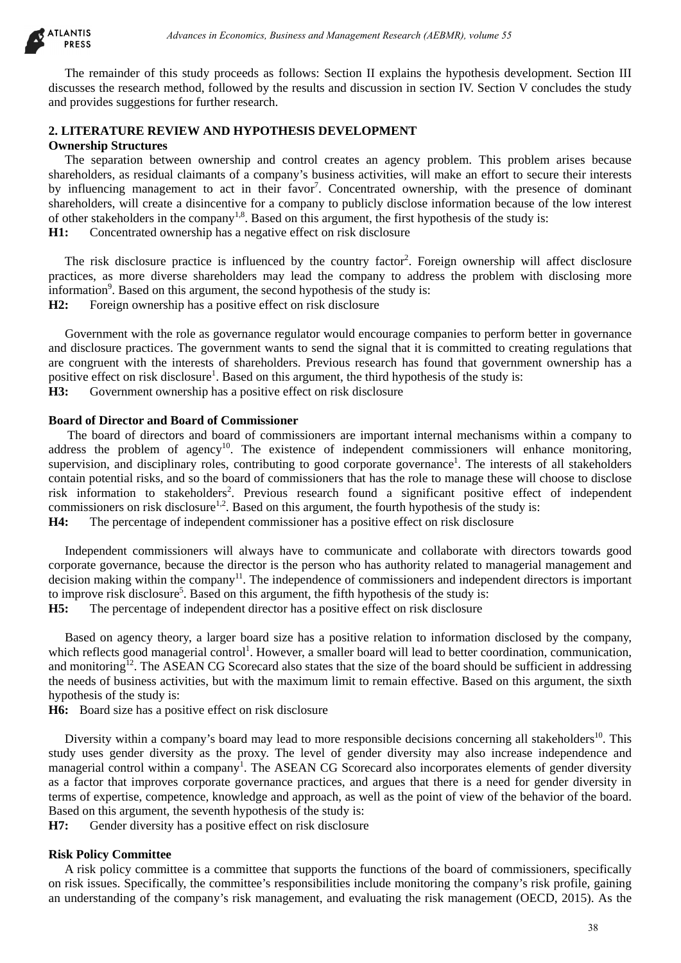

The remainder of this study proceeds as follows: Section II explains the hypothesis development. Section III discusses the research method, followed by the results and discussion in section IV. Section V concludes the study and provides suggestions for further research.

# **2. LITERATURE REVIEW AND HYPOTHESIS DEVELOPMENT Ownership Structures**

The separation between ownership and control creates an agency problem. This problem arises because shareholders, as residual claimants of a company's business activities, will make an effort to secure their interests by influencing management to act in their favor<sup>7</sup>. Concentrated ownership, with the presence of dominant shareholders, will create a disincentive for a company to publicly disclose information because of the low interest of other stakeholders in the company<sup>1,8</sup>. Based on this argument, the first hypothesis of the study is:

**H1:** Concentrated ownership has a negative effect on risk disclosure

The risk disclosure practice is influenced by the country factor<sup>2</sup>. Foreign ownership will affect disclosure practices, as more diverse shareholders may lead the company to address the problem with disclosing more information<sup>9</sup>. Based on this argument, the second hypothesis of the study is: **H2:** Foreign ownership has a positive effect on risk disclosure

Government with the role as governance regulator would encourage companies to perform better in governance and disclosure practices. The government wants to send the signal that it is committed to creating regulations that are congruent with the interests of shareholders. Previous research has found that government ownership has a positive effect on risk disclosure<sup>1</sup>. Based on this argument, the third hypothesis of the study is: **H3:** Government ownership has a positive effect on risk disclosure

## **Board of Director and Board of Commissioner**

The board of directors and board of commissioners are important internal mechanisms within a company to address the problem of agency<sup>10</sup>. The existence of independent commissioners will enhance monitoring, supervision, and disciplinary roles, contributing to good corporate governance<sup>1</sup>. The interests of all stakeholders contain potential risks, and so the board of commissioners that has the role to manage these will choose to disclose risk information to stakeholders<sup>2</sup>. Previous research found a significant positive effect of independent commissioners on risk disclosure<sup>1,2</sup>. Based on this argument, the fourth hypothesis of the study is: **H4:** The percentage of independent commissioner has a positive effect on risk disclosure debiases in Economics, Busines and Management Research (AEBMR), volume 53<br>
sinks y more and y more and Management Research (AEBMR), wolume 58<br>
and shall proceed by the results and discussion in search (N. Section V corocla

Independent commissioners will always have to communicate and collaborate with directors towards good corporate governance, because the director is the person who has authority related to managerial management and decision making within the company<sup>11</sup>. The independence of commissioners and independent directors is important to improve risk disclosure<sup>5</sup>. Based on this argument, the fifth hypothesis of the study is:

**H5:** The percentage of independent director has a positive effect on risk disclosure

Based on agency theory, a larger board size has a positive relation to information disclosed by the company, which reflects good managerial control<sup>1</sup>. However, a smaller board will lead to better coordination, communication, and monitoring<sup>12</sup>. The ASEAN CG Scorecard also states that the size of the board should be sufficient in addressing the needs of business activities, but with the maximum limit to remain effective. Based on this argument, the sixth hypothesis of the study is:

**H6:** Board size has a positive effect on risk disclosure

Diversity within a company's board may lead to more responsible decisions concerning all stakeholders<sup>10</sup>. This study uses gender diversity as the proxy. The level of gender diversity may also increase independence and managerial control within a company<sup>1</sup>. The ASEAN CG Scorecard also incorporates elements of gender diversity as a factor that improves corporate governance practices, and argues that there is a need for gender diversity in terms of expertise, competence, knowledge and approach, as well as the point of view of the behavior of the board. Based on this argument, the seventh hypothesis of the study is:

**H7:** Gender diversity has a positive effect on risk disclosure

# **Risk Policy Committee**

A risk policy committee is a committee that supports the functions of the board of commissioners, specifically on risk issues. Specifically, the committee's responsibilities include monitoring the company's risk profile, gaining an understanding of the company's risk management, and evaluating the risk management (OECD, 2015). As the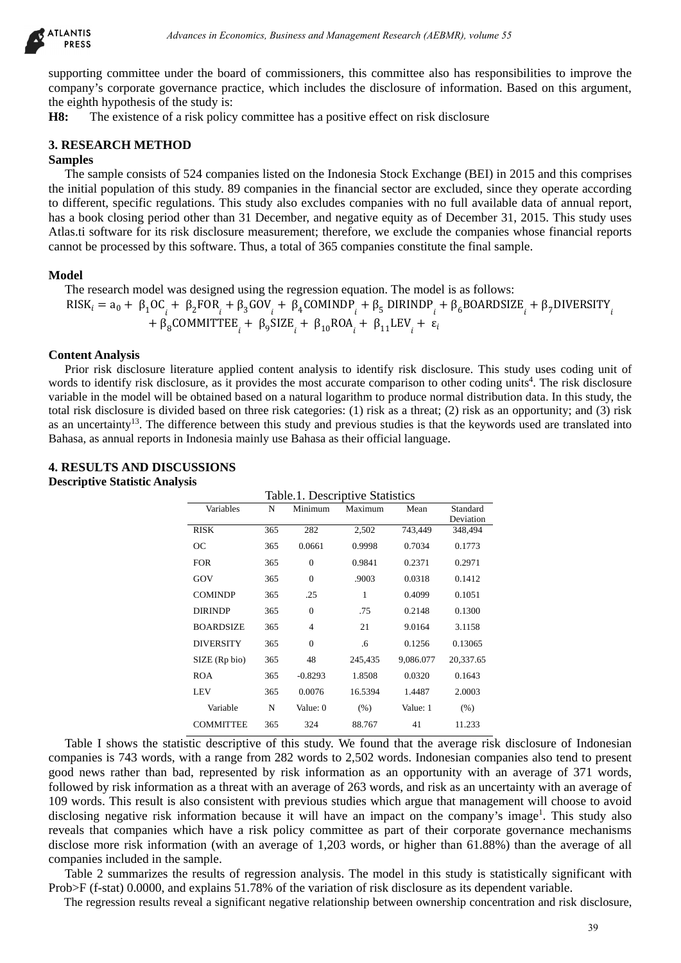

supporting committee under the board of commissioners, this committee also has responsibilities to improve the company's corporate governance practice, which includes the disclosure of information. Based on this argument, the eighth hypothesis of the study is:

**H8:** The existence of a risk policy committee has a positive effect on risk disclosure

#### **3. RESEARCH METHOD**

## **Samples**

The sample consists of 524 companies listed on the Indonesia Stock Exchange (BEI) in 2015 and this comprises the initial population of this study. 89 companies in the financial sector are excluded, since they operate according to different, specific regulations. This study also excludes companies with no full available data of annual report, has a book closing period other than 31 December, and negative equity as of December 31, 2015. This study uses Atlas.ti software for its risk disclosure measurement; therefore, we exclude the companies whose financial reports cannot be processed by this software. Thus, a total of 365 companies constitute the final sample.

#### **Model**

The research model was designed using the regression equation. The model is as follows:  $RISK_i = a_0 + \beta_1 OC_i + \beta_2 FOR_i + \beta_3 GOV_i + \beta_4 COMINDP_i + \beta_5 DIRINDP_i + \beta_6 BOARDSIZE_i + \beta_7 DIVERSITY_i$ +  $\beta_8$ COMMITTEE<sub>*i*</sub> +  $\beta_9$ SIZE<sub>*i*</sub> +  $\beta_{10}$ ROA<sub>*i*</sub> +  $\beta_{11}$ LEV<sub>*i*</sub> +  $\varepsilon_i$ 

#### **Content Analysis**

Prior risk disclosure literature applied content analysis to identify risk disclosure. This study uses coding unit of words to identify risk disclosure, as it provides the most accurate comparison to other coding units<sup>4</sup>. The risk disclosure variable in the model will be obtained based on a natural logarithm to produce normal distribution data. In this study, the total risk disclosure is divided based on three risk categories: (1) risk as a threat; (2) risk as an opportunity; and (3) risk as an uncertainty<sup>13</sup>. The difference between this study and previous studies is that the keywords used are translated into Bahasa, as annual reports in Indonesia mainly use Bahasa as their official language.

#### **4. RESULTS AND DISCUSSIONS Descriptive Statistic Analysis**

|        | Advances in Economics, Business and Management Research (AEBMR), volume 55                                                                                                                                                |                  |                                 |                |                |                      |                                                                                                                                                                                                                                                                                                                                                                                                                                                                                                                                                                                                                                                                                                                                                                                                                                                                                                                                                                                                  |
|--------|---------------------------------------------------------------------------------------------------------------------------------------------------------------------------------------------------------------------------|------------------|---------------------------------|----------------|----------------|----------------------|--------------------------------------------------------------------------------------------------------------------------------------------------------------------------------------------------------------------------------------------------------------------------------------------------------------------------------------------------------------------------------------------------------------------------------------------------------------------------------------------------------------------------------------------------------------------------------------------------------------------------------------------------------------------------------------------------------------------------------------------------------------------------------------------------------------------------------------------------------------------------------------------------------------------------------------------------------------------------------------------------|
|        | f the study is:<br>of a risk policy committee has a positive effect on risk disclosure                                                                                                                                    |                  |                                 |                |                |                      | under the board of commissioners, this committee also has responsibilities to impro-<br>overnance practice, which includes the disclosure of information. Based on this arg                                                                                                                                                                                                                                                                                                                                                                                                                                                                                                                                                                                                                                                                                                                                                                                                                      |
| HOD    |                                                                                                                                                                                                                           |                  |                                 |                |                |                      |                                                                                                                                                                                                                                                                                                                                                                                                                                                                                                                                                                                                                                                                                                                                                                                                                                                                                                                                                                                                  |
|        | this software. Thus, a total of 365 companies constitute the final sample.                                                                                                                                                |                  |                                 |                |                |                      | of 524 companies listed on the Indonesia Stock Exchange (BEI) in 2015 and this con<br>f this study. 89 companies in the financial sector are excluded, since they operate acc<br>gulations. This study also excludes companies with no full available data of annual<br>od other than 31 December, and negative equity as of December 31, 2015. This stud<br>risk disclosure measurement; therefore, we exclude the companies whose financial                                                                                                                                                                                                                                                                                                                                                                                                                                                                                                                                                    |
|        | was designed using the regression equation. The model is as follows:<br>$_{8}$ COMMITTEE <sub>i</sub> + $\beta_{9}$ SIZE <sub>i</sub> + $\beta_{10}$ ROA <sub>i</sub> + $\beta_{11}$ LEV <sub>i</sub> + $\varepsilon_{i}$ |                  |                                 |                |                |                      | $\beta_1 + \beta_2$ FOR <sub>1</sub> + $\beta_3$ GOV <sub>1</sub> + $\beta_4$ COMINDP <sub>1</sub> + $\beta_5$ DIRINDP <sub>1</sub> + $\beta_6$ BOARDSIZE <sub>1</sub> + $\beta_7$ DIVERSI                                                                                                                                                                                                                                                                                                                                                                                                                                                                                                                                                                                                                                                                                                                                                                                                       |
|        | s in Indonesia mainly use Bahasa as their official language.<br><b>SCUSSIONS</b>                                                                                                                                          |                  |                                 |                |                |                      | literature applied content analysis to identify risk disclosure. This study uses coding<br>sclosure, as it provides the most accurate comparison to other coding units <sup>4</sup> . The risk dis<br>Il be obtained based on a natural logarithm to produce normal distribution data. In this stu<br>vided based on three risk categories: $(1)$ risk as a threat; $(2)$ risk as an opportunity; and<br>difference between this study and previous studies is that the keywords used are translat                                                                                                                                                                                                                                                                                                                                                                                                                                                                                               |
| alysis |                                                                                                                                                                                                                           |                  |                                 |                |                |                      |                                                                                                                                                                                                                                                                                                                                                                                                                                                                                                                                                                                                                                                                                                                                                                                                                                                                                                                                                                                                  |
|        |                                                                                                                                                                                                                           |                  | Table.1. Descriptive Statistics |                |                |                      |                                                                                                                                                                                                                                                                                                                                                                                                                                                                                                                                                                                                                                                                                                                                                                                                                                                                                                                                                                                                  |
|        | Variables                                                                                                                                                                                                                 | N                | Minimum                         | Maximum        | Mean           | Standard             |                                                                                                                                                                                                                                                                                                                                                                                                                                                                                                                                                                                                                                                                                                                                                                                                                                                                                                                                                                                                  |
|        | <b>RISK</b>                                                                                                                                                                                                               | 365              | 282                             |                | 2,502 743,449  | Deviation<br>348,494 |                                                                                                                                                                                                                                                                                                                                                                                                                                                                                                                                                                                                                                                                                                                                                                                                                                                                                                                                                                                                  |
|        | <b>OC</b>                                                                                                                                                                                                                 | 365              | 0.0661                          | 0.9998         | 0.7034         | 0.1773               |                                                                                                                                                                                                                                                                                                                                                                                                                                                                                                                                                                                                                                                                                                                                                                                                                                                                                                                                                                                                  |
|        | <b>FOR</b>                                                                                                                                                                                                                | 365              | $\boldsymbol{0}$                | 0.9841         | 0.2371         | 0.2971               |                                                                                                                                                                                                                                                                                                                                                                                                                                                                                                                                                                                                                                                                                                                                                                                                                                                                                                                                                                                                  |
|        | GOV                                                                                                                                                                                                                       | 365              | $\boldsymbol{0}$                | .9003          | 0.0318         | 0.1412               |                                                                                                                                                                                                                                                                                                                                                                                                                                                                                                                                                                                                                                                                                                                                                                                                                                                                                                                                                                                                  |
|        | <b>COMINDP</b>                                                                                                                                                                                                            | 365              | .25                             | $\mathbf{1}$   | 0.4099         | 0.1051               |                                                                                                                                                                                                                                                                                                                                                                                                                                                                                                                                                                                                                                                                                                                                                                                                                                                                                                                                                                                                  |
|        | <b>DIRINDP</b>                                                                                                                                                                                                            | 365              | $\boldsymbol{0}$                | .75            | 0.2148         | 0.1300               |                                                                                                                                                                                                                                                                                                                                                                                                                                                                                                                                                                                                                                                                                                                                                                                                                                                                                                                                                                                                  |
|        | <b>BOARDSIZE</b>                                                                                                                                                                                                          | 365              | 4                               | 21             | 9.0164         | 3.1158               |                                                                                                                                                                                                                                                                                                                                                                                                                                                                                                                                                                                                                                                                                                                                                                                                                                                                                                                                                                                                  |
|        | <b>DIVERSITY</b>                                                                                                                                                                                                          | 365              | 0                               | .6             | 0.1256         | 0.13065              |                                                                                                                                                                                                                                                                                                                                                                                                                                                                                                                                                                                                                                                                                                                                                                                                                                                                                                                                                                                                  |
|        | SIZE (Rp bio)                                                                                                                                                                                                             | 365              | 48                              | 245,435        | 9,086.077      | 20,337.65            |                                                                                                                                                                                                                                                                                                                                                                                                                                                                                                                                                                                                                                                                                                                                                                                                                                                                                                                                                                                                  |
|        | <b>ROA</b>                                                                                                                                                                                                                | 365              | $-0.8293$                       | 1.8508         | 0.0320         | 0.1643               |                                                                                                                                                                                                                                                                                                                                                                                                                                                                                                                                                                                                                                                                                                                                                                                                                                                                                                                                                                                                  |
|        | LEV                                                                                                                                                                                                                       | 365              | 0.0076                          | 16.5394        | 1.4487         | 2.0003               |                                                                                                                                                                                                                                                                                                                                                                                                                                                                                                                                                                                                                                                                                                                                                                                                                                                                                                                                                                                                  |
|        | Variable<br><b>COMMITTEE</b>                                                                                                                                                                                              | ${\bf N}$<br>365 | Value: 0<br>324                 | (% )<br>88.767 | Value: 1<br>41 | (% )<br>11.233       |                                                                                                                                                                                                                                                                                                                                                                                                                                                                                                                                                                                                                                                                                                                                                                                                                                                                                                                                                                                                  |
|        | the sample.                                                                                                                                                                                                               |                  |                                 |                |                |                      | tatistic descriptive of this study. We found that the average risk disclosure of Indo<br>s, with a range from 282 words to 2,502 words. Indonesian companies also tend to<br>bad, represented by risk information as an opportunity with an average of 371<br>ation as a threat with an average of 263 words, and risk as an uncertainty with an ave<br>is also consistent with previous studies which argue that management will choose to<br>k information because it will have an impact on the company's image <sup>1</sup> . This stud<br>which have a risk policy committee as part of their corporate governance mech<br>rmation (with an average of 1,203 words, or higher than 61.88%) than the average<br>the results of regression analysis. The model in this study is statistically significant<br>and explains 51.78% of the variation of risk disclosure as its dependent variable.<br>s reveal a significant negative relationship between ownership concentration and risk disc |

Table I shows the statistic descriptive of this study. We found that the average risk disclosure of Indonesian companies is 743 words, with a range from 282 words to 2,502 words. Indonesian companies also tend to present good news rather than bad, represented by risk information as an opportunity with an average of 371 words, followed by risk information as a threat with an average of 263 words, and risk as an uncertainty with an average of 109 words. This result is also consistent with previous studies which argue that management will choose to avoid disclosing negative risk information because it will have an impact on the company's image<sup>1</sup>. This study also reveals that companies which have a risk policy committee as part of their corporate governance mechanisms disclose more risk information (with an average of 1,203 words, or higher than 61.88%) than the average of all companies included in the sample.

Table 2 summarizes the results of regression analysis. The model in this study is statistically significant with Prob>F (f-stat) 0.0000, and explains 51.78% of the variation of risk disclosure as its dependent variable.

The regression results reveal a significant negative relationship between ownership concentration and risk disclosure,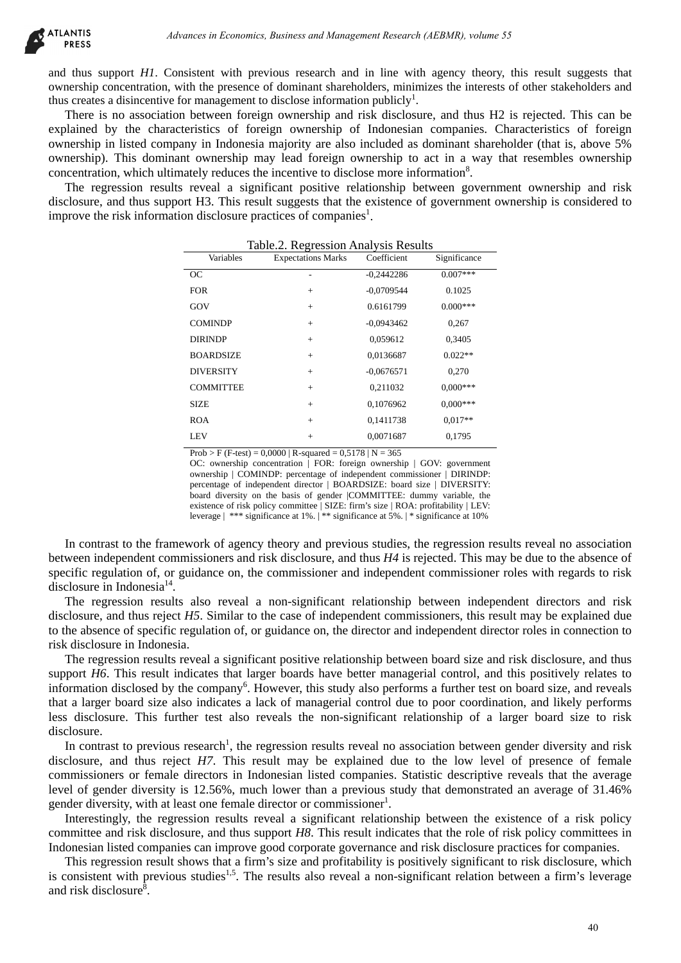and thus support *H1*. Consistent with previous research and in line with agency theory, this result suggests that ownership concentration, with the presence of dominant shareholders, minimizes the interests of other stakeholders and thus creates a disincentive for management to disclose information publicly<sup>1</sup>.

There is no association between foreign ownership and risk disclosure, and thus H2 is rejected. This can be explained by the characteristics of foreign ownership of Indonesian companies. Characteristics of foreign ownership in listed company in Indonesia majority are also included as dominant shareholder (that is, above 5% ownership). This dominant ownership may lead foreign ownership to act in a way that resembles ownership concentration, which ultimately reduces the incentive to disclose more information<sup>8</sup>.

The regression results reveal a significant positive relationship between government ownership and risk disclosure, and thus support H3. This result suggests that the existence of government ownership is considered to improve the risk information disclosure practices of companies<sup>1</sup>.

| pport H3. This result suggests that the existence of government ownership is consider | ation disclosure practices of companies <sup>1</sup> .                                                                                                                                              |              |              |  |
|---------------------------------------------------------------------------------------|-----------------------------------------------------------------------------------------------------------------------------------------------------------------------------------------------------|--------------|--------------|--|
| Variables                                                                             | Table.2. Regression Analysis Results<br><b>Expectations Marks</b>                                                                                                                                   | Coefficient  | Significance |  |
| OC                                                                                    |                                                                                                                                                                                                     | $-0,2442286$ | $0.007***$   |  |
| <b>FOR</b>                                                                            | $^+$                                                                                                                                                                                                | $-0,0709544$ | 0.1025       |  |
| GOV                                                                                   | $^+$                                                                                                                                                                                                | 0.6161799    | $0.000***$   |  |
| <b>COMINDP</b>                                                                        | $^+$                                                                                                                                                                                                | $-0,0943462$ | 0,267        |  |
| <b>DIRINDP</b>                                                                        | $^+$                                                                                                                                                                                                | 0,059612     | 0,3405       |  |
| <b>BOARDSIZE</b>                                                                      | $^+$                                                                                                                                                                                                | 0,0136687    | $0.022**$    |  |
| <b>DIVERSITY</b>                                                                      | $^{+}$                                                                                                                                                                                              | $-0,0676571$ | 0,270        |  |
| <b>COMMITTEE</b>                                                                      | $^{+}$                                                                                                                                                                                              | 0,211032     | $0,000***$   |  |
| <b>SIZE</b>                                                                           | $\hspace{0.1mm} +$                                                                                                                                                                                  | 0,1076962    | $0,000***$   |  |
| <b>ROA</b>                                                                            | $\hspace{0.1mm} +$                                                                                                                                                                                  | 0,1411738    | $0.017**$    |  |
| <b>LEV</b>                                                                            | $^{+}$                                                                                                                                                                                              | 0,0071687    | 0,1795       |  |
| leverage   *** significance at 1%.   ** significance at 5%.   * significance at 10%   |                                                                                                                                                                                                     |              |              |  |
|                                                                                       | imework of agency theory and previous studies, the regression results reveal no asso                                                                                                                |              |              |  |
|                                                                                       | ommissioners and risk disclosure, and thus $H4$ is rejected. This may be due to the abse<br>or guidance on, the commissioner and independent commissioner roles with regards                        |              |              |  |
|                                                                                       | ults also reveal a non-significant relationship between independent directors are                                                                                                                   |              |              |  |
|                                                                                       | ect H5. Similar to the case of independent commissioners, this result may be explain<br>ic regulation of, or guidance on, the director and independent director roles in connect                    |              |              |  |
| esia.                                                                                 |                                                                                                                                                                                                     |              |              |  |
|                                                                                       | ts reveal a significant positive relationship between board size and risk disclosure, an<br>t indicates that larger boards have better managerial control, and this positively rel                  |              |              |  |
|                                                                                       | y the company <sup>6</sup> . However, this study also performs a further test on board size, and a                                                                                                  |              |              |  |
|                                                                                       | also indicates a lack of managerial control due to poor coordination, and likely pe                                                                                                                 |              |              |  |
|                                                                                       | further test also reveals the non-significant relationship of a larger board size                                                                                                                   |              |              |  |
|                                                                                       |                                                                                                                                                                                                     |              |              |  |
|                                                                                       | ous research <sup>1</sup> , the regression results reveal no association between gender diversity a<br>eject H7. This result may be explained due to the low level of presence of                   |              |              |  |
|                                                                                       | ale directors in Indonesian listed companies. Statistic descriptive reveals that the a                                                                                                              |              |              |  |
|                                                                                       | ty is 12.56%, much lower than a previous study that demonstrated an average of 3                                                                                                                    |              |              |  |
|                                                                                       | t least one female director or commissioner <sup>1</sup> .                                                                                                                                          |              |              |  |
|                                                                                       | gression results reveal a significant relationship between the existence of a risk                                                                                                                  |              |              |  |
|                                                                                       | closure, and thus support H8. This result indicates that the role of risk policy commit<br>anies can improve good corporate governance and risk disclosure practices for compa                      |              |              |  |
|                                                                                       | It shows that a firm's size and profitability is positively significant to risk disclosure,<br>ious studies <sup>1,5</sup> . The results also reveal a non-significant relation between a firm's le |              |              |  |

|  |  | Table.2. Regression Analysis Results |  |  |
|--|--|--------------------------------------|--|--|
|--|--|--------------------------------------|--|--|

In contrast to the framework of agency theory and previous studies, the regression results reveal no association between independent commissioners and risk disclosure, and thus *H4* is rejected. This may be due to the absence of specific regulation of, or guidance on, the commissioner and independent commissioner roles with regards to risk disclosure in Indonesia<sup>14</sup>.

The regression results also reveal a non-significant relationship between independent directors and risk disclosure, and thus reject *H5*. Similar to the case of independent commissioners, this result may be explained due to the absence of specific regulation of, or guidance on, the director and independent director roles in connection to risk disclosure in Indonesia.

The regression results reveal a significant positive relationship between board size and risk disclosure, and thus support *H6*. This result indicates that larger boards have better managerial control, and this positively relates to information disclosed by the company<sup>6</sup>. However, this study also performs a further test on board size, and reveals that a larger board size also indicates a lack of managerial control due to poor coordination, and likely performs less disclosure. This further test also reveals the non-significant relationship of a larger board size to risk disclosure.

In contrast to previous research<sup>1</sup>, the regression results reveal no association between gender diversity and risk disclosure, and thus reject *H7*. This result may be explained due to the low level of presence of female commissioners or female directors in Indonesian listed companies. Statistic descriptive reveals that the average level of gender diversity is 12.56%, much lower than a previous study that demonstrated an average of 31.46% gender diversity, with at least one female director or commissioner<sup>1</sup>.

Interestingly, the regression results reveal a significant relationship between the existence of a risk policy committee and risk disclosure, and thus support *H8*. This result indicates that the role of risk policy committees in Indonesian listed companies can improve good corporate governance and risk disclosure practices for companies.

This regression result shows that a firm's size and profitability is positively significant to risk disclosure, which is consistent with previous studies<sup>1,5</sup>. The results also reveal a non-significant relation between a firm's leverage and risk disclosure $^{\overline{8}}$ .